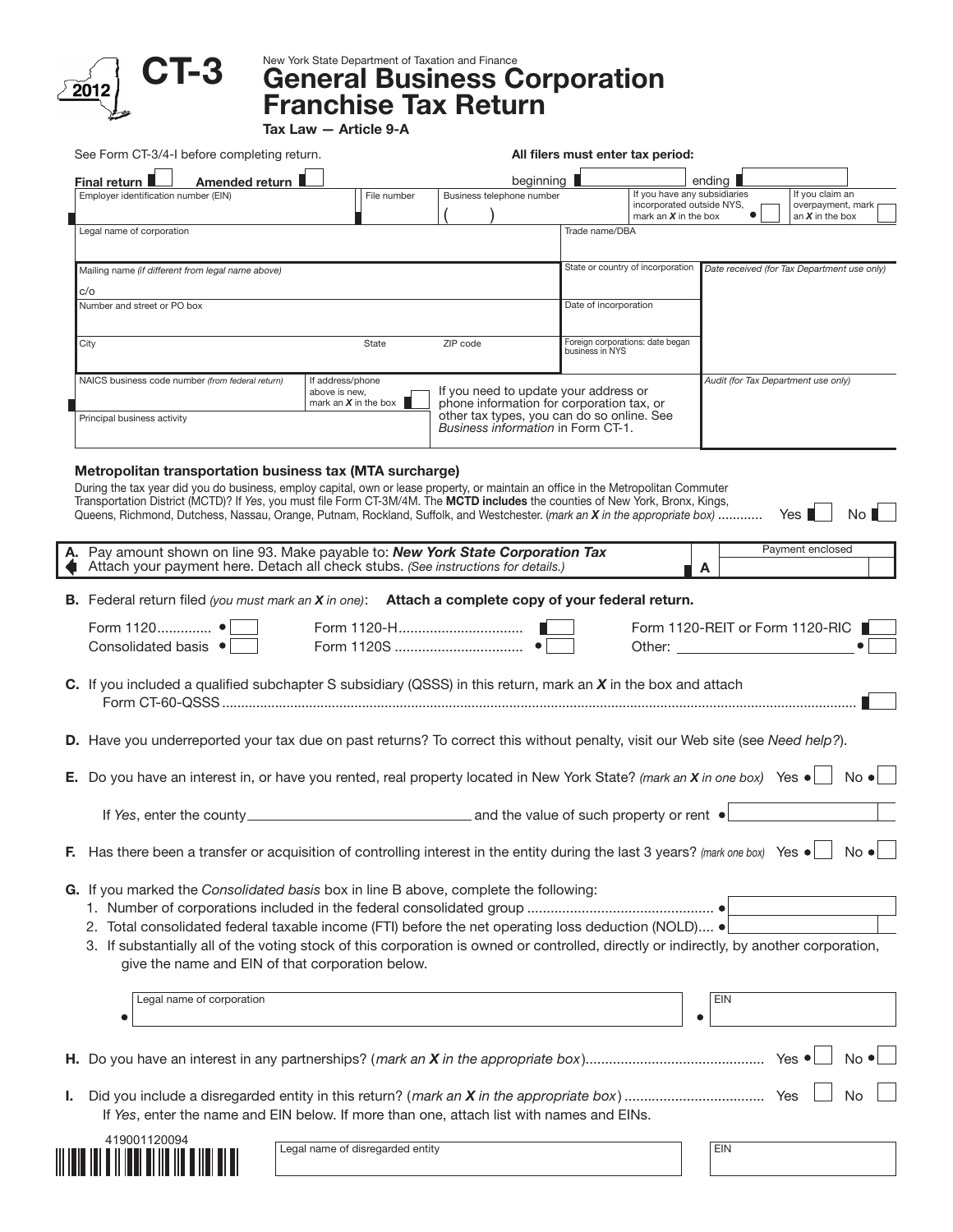

CT-3 New York State Department of Taxation and Finance Corporation Franchise Tax Return

Tax Law — Article 9-A

| See Form CT-3/4-I before completing return.                                                                                                                                                 |                                       |                                                                                                                               | All filers must enter tax period:                   |                                                     |                       |                                                           |
|---------------------------------------------------------------------------------------------------------------------------------------------------------------------------------------------|---------------------------------------|-------------------------------------------------------------------------------------------------------------------------------|-----------------------------------------------------|-----------------------------------------------------|-----------------------|-----------------------------------------------------------|
| Amended return<br>Final return I                                                                                                                                                            |                                       | beginning                                                                                                                     |                                                     | If you have any subsidiaries                        | ending $\blacksquare$ |                                                           |
| Employer identification number (EIN)                                                                                                                                                        | File number                           | Business telephone number                                                                                                     |                                                     | incorporated outside NYS,<br>mark an $X$ in the box |                       | If you claim an<br>overpayment, mark<br>an $X$ in the box |
| Legal name of corporation                                                                                                                                                                   |                                       |                                                                                                                               | Trade name/DBA                                      |                                                     |                       |                                                           |
| Mailing name (if different from legal name above)                                                                                                                                           |                                       |                                                                                                                               |                                                     | State or country of incorporation                   |                       | Date received (for Tax Department use only)               |
| c/o                                                                                                                                                                                         |                                       |                                                                                                                               |                                                     |                                                     |                       |                                                           |
| Number and street or PO box                                                                                                                                                                 |                                       |                                                                                                                               | Date of incorporation                               |                                                     |                       |                                                           |
| City                                                                                                                                                                                        | State                                 | ZIP code                                                                                                                      | Foreign corporations: date began<br>business in NYS |                                                     |                       |                                                           |
| NAICS business code number (from federal return)                                                                                                                                            | If address/phone<br>above is new,     | If you need to update your address or                                                                                         |                                                     |                                                     |                       | Audit (for Tax Department use only)                       |
| Principal business activity                                                                                                                                                                 | mark an $X$ in the box $\blacksquare$ | phone information for corporation tax, or<br>other tax types, you can do so online. See<br>Business information in Form CT-1. |                                                     |                                                     |                       |                                                           |
|                                                                                                                                                                                             |                                       |                                                                                                                               |                                                     |                                                     |                       |                                                           |
| Pay amount shown on line 93. Make payable to: New York State Corporation Tax<br>Attach your payment here. Detach all check stubs. (See instructions for details.)                           |                                       |                                                                                                                               |                                                     |                                                     | A                     | Payment enclosed                                          |
| B. Federal return filed (you must mark an X in one): Attach a complete copy of your federal return.                                                                                         |                                       |                                                                                                                               |                                                     |                                                     |                       |                                                           |
| Form 1120 •<br>Consolidated basis •                                                                                                                                                         |                                       |                                                                                                                               |                                                     |                                                     | Other: <u>___</u>     | Form 1120-REIT or Form 1120-RIC                           |
| C. If you included a qualified subchapter S subsidiary (QSSS) in this return, mark an $X$ in the box and attach                                                                             |                                       |                                                                                                                               |                                                     |                                                     |                       |                                                           |
| D. Have you underreported your tax due on past returns? To correct this without penalty, visit our Web site (see Need help?).                                                               |                                       |                                                                                                                               |                                                     |                                                     |                       |                                                           |
| E. Do you have an interest in, or have you rented, real property located in New York State? (mark an $X$ in one box) Yes $\bullet$                                                          |                                       |                                                                                                                               |                                                     |                                                     |                       | $No \bullet$                                              |
| If Yes, enter the county entity and the value of such property or rent $\bullet$                                                                                                            |                                       |                                                                                                                               |                                                     |                                                     |                       |                                                           |
| Has there been a transfer or acquisition of controlling interest in the entity during the last 3 years? (mark one box) Yes $\bullet$                                                        |                                       |                                                                                                                               |                                                     |                                                     |                       | $No \cdot$                                                |
|                                                                                                                                                                                             |                                       |                                                                                                                               |                                                     |                                                     |                       |                                                           |
| G. If you marked the Consolidated basis box in line B above, complete the following:                                                                                                        |                                       |                                                                                                                               |                                                     |                                                     |                       |                                                           |
| 2. Total consolidated federal taxable income (FTI) before the net operating loss deduction (NOLD) .                                                                                         |                                       |                                                                                                                               |                                                     |                                                     |                       |                                                           |
| 3. If substantially all of the voting stock of this corporation is owned or controlled, directly or indirectly, by another corporation,<br>give the name and EIN of that corporation below. |                                       |                                                                                                                               |                                                     |                                                     |                       |                                                           |
| Legal name of corporation                                                                                                                                                                   |                                       |                                                                                                                               |                                                     |                                                     | <b>EIN</b>            |                                                           |
|                                                                                                                                                                                             |                                       |                                                                                                                               |                                                     |                                                     |                       |                                                           |
|                                                                                                                                                                                             |                                       |                                                                                                                               |                                                     |                                                     |                       | $No \cdot$                                                |
|                                                                                                                                                                                             |                                       |                                                                                                                               |                                                     |                                                     |                       | No.                                                       |
| If Yes, enter the name and EIN below. If more than one, attach list with names and EINs.                                                                                                    |                                       |                                                                                                                               |                                                     |                                                     |                       |                                                           |
| 419001120094                                                                                                                                                                                | Legal name of disregarded entity      |                                                                                                                               |                                                     |                                                     | EIN                   |                                                           |
|                                                                                                                                                                                             |                                       |                                                                                                                               |                                                     |                                                     |                       |                                                           |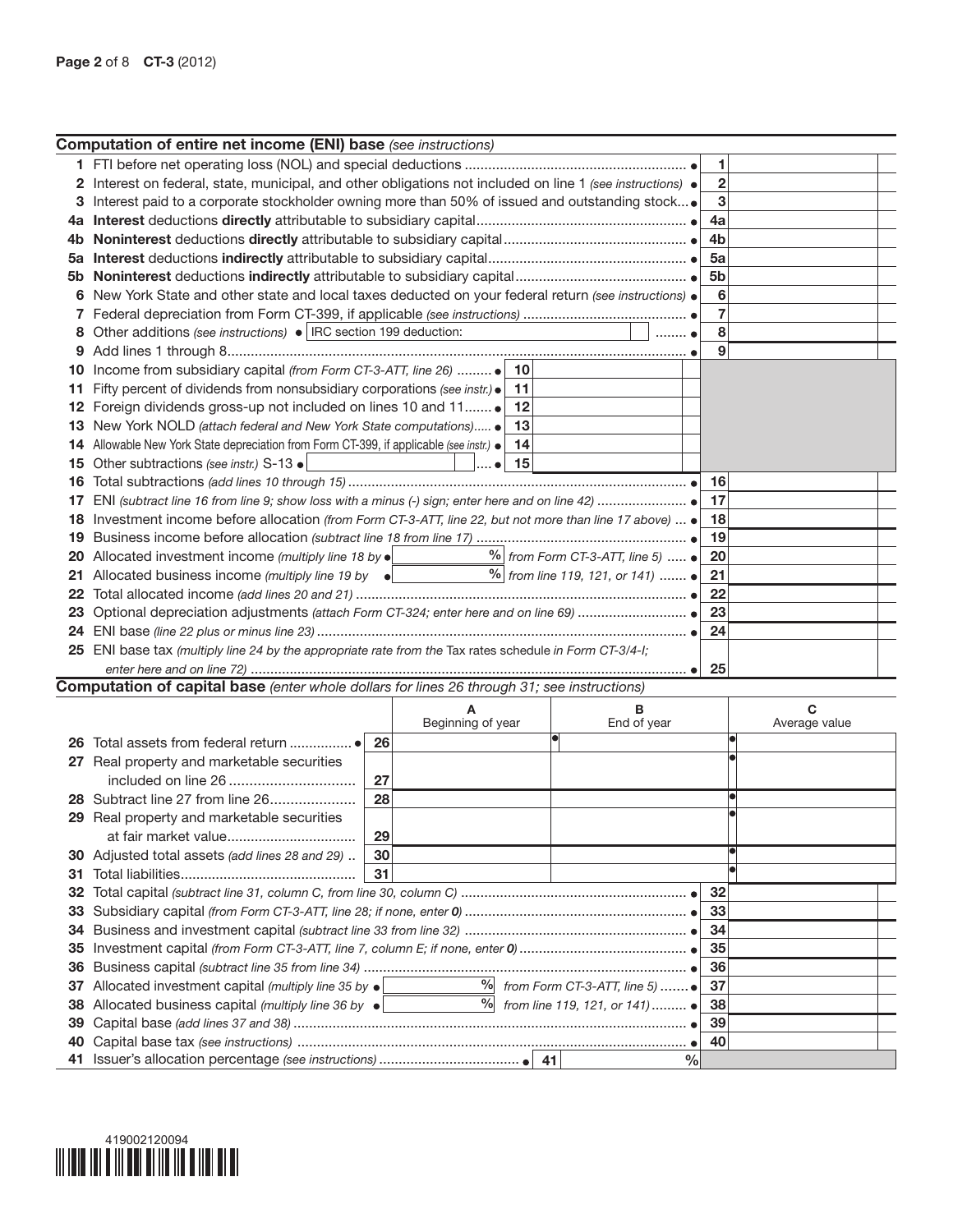|     | <b>Computation of entire net income (ENI) base</b> (see instructions)                                              |                                           |                          |                                           |                |               |  |
|-----|--------------------------------------------------------------------------------------------------------------------|-------------------------------------------|--------------------------|-------------------------------------------|----------------|---------------|--|
|     |                                                                                                                    |                                           |                          |                                           | 1              |               |  |
|     | 2 Interest on federal, state, municipal, and other obligations not included on line 1 (see instructions) $\bullet$ |                                           |                          |                                           | 2              |               |  |
|     | Interest paid to a corporate stockholder owning more than 50% of issued and outstanding stock                      |                                           |                          |                                           | 3              |               |  |
|     |                                                                                                                    |                                           |                          |                                           | 4a             |               |  |
|     |                                                                                                                    |                                           |                          |                                           | 4b             |               |  |
| 5a  |                                                                                                                    |                                           |                          |                                           | 5a             |               |  |
|     |                                                                                                                    |                                           |                          |                                           | 5 <sub>b</sub> |               |  |
| 6   | New York State and other state and local taxes deducted on your federal return (see instructions) .                |                                           |                          |                                           | 6              |               |  |
|     |                                                                                                                    |                                           |                          |                                           | 7              |               |  |
| 8   | Other additions (see instructions) •   IRC section 199 deduction:                                                  |                                           |                          |                                           | 8              |               |  |
|     |                                                                                                                    |                                           |                          |                                           | 9              |               |  |
| 10  |                                                                                                                    |                                           |                          |                                           |                |               |  |
| 11  | Fifty percent of dividends from nonsubsidiary corporations (see instr.) .                                          |                                           | 11                       |                                           |                |               |  |
| 12  | Foreign dividends gross-up not included on lines 10 and 11                                                         |                                           | 12                       |                                           |                |               |  |
|     | New York NOLD (attach federal and New York State computations)                                                     |                                           | 13                       |                                           |                |               |  |
|     | 14 Allowable New York State depreciation from Form CT-399, if applicable (see instr.) .                            |                                           | 14                       |                                           |                |               |  |
|     | 15 Other subtractions (see instr.) S-13 .                                                                          |                                           | 15<br>$\ldots$ $\bullet$ |                                           |                |               |  |
| 16  |                                                                                                                    |                                           |                          |                                           | 16             |               |  |
|     |                                                                                                                    |                                           |                          |                                           | 17             |               |  |
|     | Investment income before allocation (from Form CT-3-ATT, line 22, but not more than line 17 above) $\bullet$       |                                           |                          |                                           | 18             |               |  |
| 19  |                                                                                                                    |                                           | 19                       |                                           |                |               |  |
|     | 20 Allocated investment income (multiply line 18 by $\bullet$ _______________________                              | $%$ from Form CT-3-ATT, line 5) $\bullet$ | 20                       |                                           |                |               |  |
|     | 21 Allocated business income (multiply line 19 by $\bullet$ $\Box$ 9 \from line 119, 121, or 141)                  |                                           | 21                       |                                           |                |               |  |
|     |                                                                                                                    |                                           | 22                       |                                           |                |               |  |
|     |                                                                                                                    |                                           |                          |                                           | 23             |               |  |
|     |                                                                                                                    |                                           |                          |                                           | 24             |               |  |
|     | 25 ENI base tax (multiply line 24 by the appropriate rate from the Tax rates schedule in Form CT-3/4-I;            |                                           |                          |                                           |                |               |  |
|     |                                                                                                                    |                                           |                          |                                           | 25             |               |  |
|     | <b>Computation of capital base</b> (enter whole dollars for lines 26 through 31; see instructions)                 |                                           |                          |                                           |                |               |  |
|     |                                                                                                                    |                                           | A                        | в                                         |                | C             |  |
|     |                                                                                                                    |                                           | Beginning of year        | End of year                               |                | Average value |  |
|     |                                                                                                                    | 26                                        |                          |                                           |                |               |  |
|     | 27 Real property and marketable securities                                                                         |                                           |                          |                                           |                |               |  |
|     | included on line 26                                                                                                | 27                                        |                          |                                           |                |               |  |
|     | 28 Subtract line 27 from line 26                                                                                   | 28                                        |                          |                                           |                |               |  |
|     | 29 Real property and marketable securities                                                                         |                                           |                          |                                           |                |               |  |
|     |                                                                                                                    | 29                                        |                          |                                           |                |               |  |
|     | 30 Adjusted total assets (add lines 28 and 29)                                                                     | 30                                        |                          |                                           |                |               |  |
| 31. |                                                                                                                    | 31                                        |                          |                                           |                |               |  |
| 32  |                                                                                                                    |                                           |                          |                                           | 32             |               |  |
| 33  |                                                                                                                    |                                           |                          |                                           | 33             |               |  |
| 34  |                                                                                                                    |                                           |                          |                                           | 34             |               |  |
| 35  |                                                                                                                    |                                           |                          |                                           | 35             |               |  |
| 36  |                                                                                                                    |                                           |                          | $\frac{9}{6}$ from Form CT-3-ATT, line 5) | 36             |               |  |
| 37  | Allocated investment capital (multiply line 35 by $\bullet$                                                        |                                           | $\frac{0}{2}$            |                                           | 37             |               |  |
| 38  | Allocated business capital (multiply line 36 by $\bullet$                                                          |                                           |                          | from line 119, 121, or 141)  ●            | 38             |               |  |
| 39  |                                                                                                                    |                                           |                          |                                           | 39             |               |  |
| 40  |                                                                                                                    |                                           |                          |                                           | 40<br>$\%$     |               |  |
|     |                                                                                                                    |                                           |                          |                                           |                |               |  |

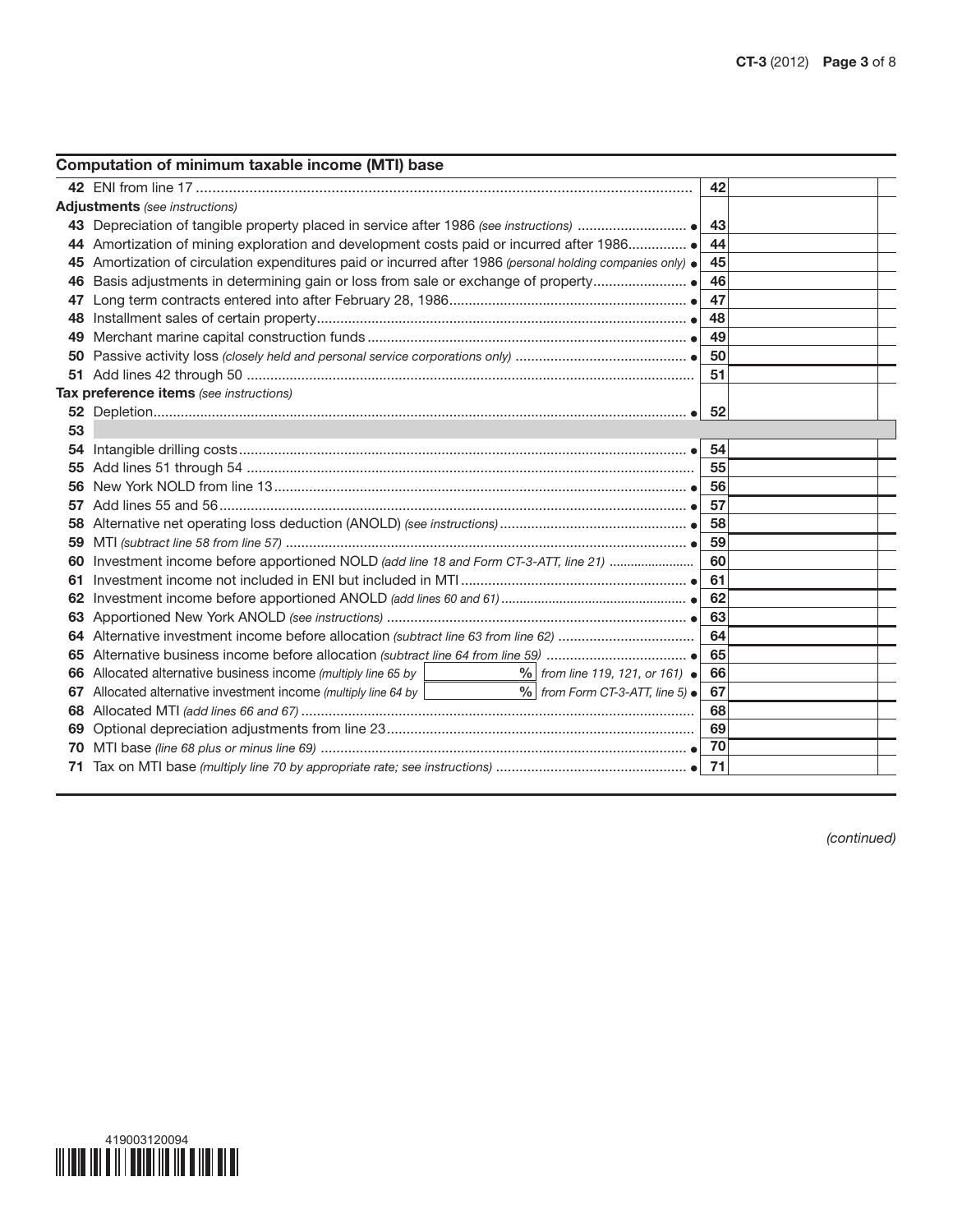| 42<br><b>Adjustments</b> (see instructions)<br>43<br>44 Amortization of mining exploration and development costs paid or incurred after 1986<br>44<br>45 Amortization of circulation expenditures paid or incurred after 1986 (personal holding companies only) $\bullet$<br>45<br>46<br>46<br>47<br>47<br>48<br>48.<br>49<br>49.<br>50<br>50<br>51<br>Tax preference items (see instructions)<br>53<br>54<br>55<br>55<br>56<br>56<br>57<br>57<br>58<br>58<br>59<br>59<br>Investment income before apportioned NOLD (add line 18 and Form CT-3-ATT, line 21)<br>60<br>60<br>61<br>61<br>62<br>63<br>64<br>65<br>66 Allocated alternative business income (multiply line 65 by<br>$\frac{9}{6}$ from line 119, 121, or 161) $\bullet$<br>66<br>$%$ from Form CT-3-ATT, line 5) $\bullet$<br>Allocated alternative investment income (multiply line 64 by  <br>67<br>67<br>68<br>68<br>69<br>69<br>-70<br>70<br>71 | Computation of minimum taxable income (MTI) base |  |
|------------------------------------------------------------------------------------------------------------------------------------------------------------------------------------------------------------------------------------------------------------------------------------------------------------------------------------------------------------------------------------------------------------------------------------------------------------------------------------------------------------------------------------------------------------------------------------------------------------------------------------------------------------------------------------------------------------------------------------------------------------------------------------------------------------------------------------------------------------------------------------------------------------------|--------------------------------------------------|--|
|                                                                                                                                                                                                                                                                                                                                                                                                                                                                                                                                                                                                                                                                                                                                                                                                                                                                                                                  |                                                  |  |
|                                                                                                                                                                                                                                                                                                                                                                                                                                                                                                                                                                                                                                                                                                                                                                                                                                                                                                                  |                                                  |  |
|                                                                                                                                                                                                                                                                                                                                                                                                                                                                                                                                                                                                                                                                                                                                                                                                                                                                                                                  |                                                  |  |
|                                                                                                                                                                                                                                                                                                                                                                                                                                                                                                                                                                                                                                                                                                                                                                                                                                                                                                                  |                                                  |  |
|                                                                                                                                                                                                                                                                                                                                                                                                                                                                                                                                                                                                                                                                                                                                                                                                                                                                                                                  |                                                  |  |
|                                                                                                                                                                                                                                                                                                                                                                                                                                                                                                                                                                                                                                                                                                                                                                                                                                                                                                                  |                                                  |  |
|                                                                                                                                                                                                                                                                                                                                                                                                                                                                                                                                                                                                                                                                                                                                                                                                                                                                                                                  |                                                  |  |
|                                                                                                                                                                                                                                                                                                                                                                                                                                                                                                                                                                                                                                                                                                                                                                                                                                                                                                                  |                                                  |  |
|                                                                                                                                                                                                                                                                                                                                                                                                                                                                                                                                                                                                                                                                                                                                                                                                                                                                                                                  |                                                  |  |
|                                                                                                                                                                                                                                                                                                                                                                                                                                                                                                                                                                                                                                                                                                                                                                                                                                                                                                                  |                                                  |  |
|                                                                                                                                                                                                                                                                                                                                                                                                                                                                                                                                                                                                                                                                                                                                                                                                                                                                                                                  |                                                  |  |
|                                                                                                                                                                                                                                                                                                                                                                                                                                                                                                                                                                                                                                                                                                                                                                                                                                                                                                                  |                                                  |  |
|                                                                                                                                                                                                                                                                                                                                                                                                                                                                                                                                                                                                                                                                                                                                                                                                                                                                                                                  |                                                  |  |
|                                                                                                                                                                                                                                                                                                                                                                                                                                                                                                                                                                                                                                                                                                                                                                                                                                                                                                                  |                                                  |  |
|                                                                                                                                                                                                                                                                                                                                                                                                                                                                                                                                                                                                                                                                                                                                                                                                                                                                                                                  |                                                  |  |
|                                                                                                                                                                                                                                                                                                                                                                                                                                                                                                                                                                                                                                                                                                                                                                                                                                                                                                                  |                                                  |  |
|                                                                                                                                                                                                                                                                                                                                                                                                                                                                                                                                                                                                                                                                                                                                                                                                                                                                                                                  |                                                  |  |
|                                                                                                                                                                                                                                                                                                                                                                                                                                                                                                                                                                                                                                                                                                                                                                                                                                                                                                                  |                                                  |  |
|                                                                                                                                                                                                                                                                                                                                                                                                                                                                                                                                                                                                                                                                                                                                                                                                                                                                                                                  |                                                  |  |
|                                                                                                                                                                                                                                                                                                                                                                                                                                                                                                                                                                                                                                                                                                                                                                                                                                                                                                                  |                                                  |  |
|                                                                                                                                                                                                                                                                                                                                                                                                                                                                                                                                                                                                                                                                                                                                                                                                                                                                                                                  |                                                  |  |
|                                                                                                                                                                                                                                                                                                                                                                                                                                                                                                                                                                                                                                                                                                                                                                                                                                                                                                                  |                                                  |  |
|                                                                                                                                                                                                                                                                                                                                                                                                                                                                                                                                                                                                                                                                                                                                                                                                                                                                                                                  |                                                  |  |
|                                                                                                                                                                                                                                                                                                                                                                                                                                                                                                                                                                                                                                                                                                                                                                                                                                                                                                                  |                                                  |  |
|                                                                                                                                                                                                                                                                                                                                                                                                                                                                                                                                                                                                                                                                                                                                                                                                                                                                                                                  |                                                  |  |
|                                                                                                                                                                                                                                                                                                                                                                                                                                                                                                                                                                                                                                                                                                                                                                                                                                                                                                                  |                                                  |  |
|                                                                                                                                                                                                                                                                                                                                                                                                                                                                                                                                                                                                                                                                                                                                                                                                                                                                                                                  |                                                  |  |
|                                                                                                                                                                                                                                                                                                                                                                                                                                                                                                                                                                                                                                                                                                                                                                                                                                                                                                                  |                                                  |  |
|                                                                                                                                                                                                                                                                                                                                                                                                                                                                                                                                                                                                                                                                                                                                                                                                                                                                                                                  |                                                  |  |
|                                                                                                                                                                                                                                                                                                                                                                                                                                                                                                                                                                                                                                                                                                                                                                                                                                                                                                                  |                                                  |  |
|                                                                                                                                                                                                                                                                                                                                                                                                                                                                                                                                                                                                                                                                                                                                                                                                                                                                                                                  |                                                  |  |
|                                                                                                                                                                                                                                                                                                                                                                                                                                                                                                                                                                                                                                                                                                                                                                                                                                                                                                                  |                                                  |  |

*(continued)*

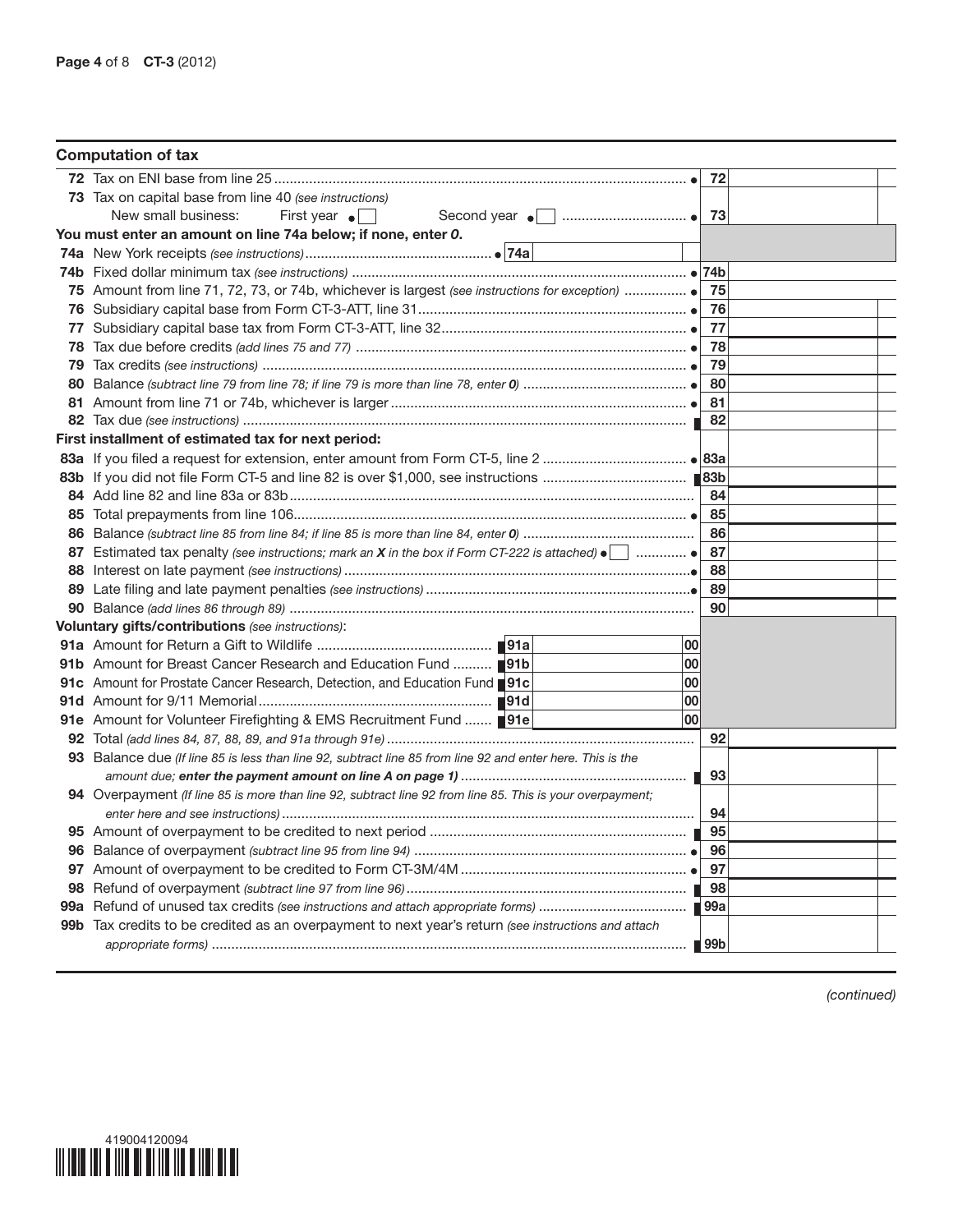| <b>Computation of tax</b>                                                                                            |    |                    |  |
|----------------------------------------------------------------------------------------------------------------------|----|--------------------|--|
|                                                                                                                      |    | 72                 |  |
| 73 Tax on capital base from line 40 (see instructions)                                                               |    |                    |  |
| New small business:<br>First year $\bullet$<br>Second year $\bullet$   $\ldots$ $\ldots$ $\ldots$ $\ldots$ $\bullet$ |    | 73                 |  |
| You must enter an amount on line 74a below; if none, enter 0.                                                        |    |                    |  |
|                                                                                                                      |    |                    |  |
|                                                                                                                      |    |                    |  |
|                                                                                                                      |    | -75                |  |
|                                                                                                                      |    | 76                 |  |
|                                                                                                                      |    | 77                 |  |
|                                                                                                                      |    | 78                 |  |
|                                                                                                                      |    | 79                 |  |
|                                                                                                                      |    | -80                |  |
|                                                                                                                      |    | -81                |  |
|                                                                                                                      |    | 82                 |  |
| First installment of estimated tax for next period:                                                                  |    |                    |  |
|                                                                                                                      |    |                    |  |
|                                                                                                                      |    |                    |  |
|                                                                                                                      |    | 84                 |  |
|                                                                                                                      |    | 85                 |  |
|                                                                                                                      |    | 86                 |  |
|                                                                                                                      |    | 87                 |  |
|                                                                                                                      |    | 88                 |  |
|                                                                                                                      |    | 89                 |  |
|                                                                                                                      |    | 90                 |  |
| <b>Voluntary gifts/contributions</b> (see instructions):                                                             |    |                    |  |
|                                                                                                                      | 00 |                    |  |
| 91b Amount for Breast Cancer Research and Education Fund  191b                                                       | 00 |                    |  |
| 91c Amount for Prostate Cancer Research, Detection, and Education Fund 191c                                          | 00 |                    |  |
|                                                                                                                      | 00 |                    |  |
| 91e Amount for Volunteer Firefighting & EMS Recruitment Fund  ■91e                                                   | 00 |                    |  |
|                                                                                                                      |    | 92                 |  |
| 93 Balance due (If line 85 is less than line 92, subtract line 85 from line 92 and enter here. This is the           |    |                    |  |
|                                                                                                                      |    |                    |  |
| 94 Overpayment (If line 85 is more than line 92, subtract line 92 from line 85. This is your overpayment;            |    |                    |  |
|                                                                                                                      |    | 94                 |  |
|                                                                                                                      |    |                    |  |
|                                                                                                                      |    | 96                 |  |
|                                                                                                                      |    | 97                 |  |
|                                                                                                                      |    |                    |  |
|                                                                                                                      |    |                    |  |
| 99b Tax credits to be credited as an overpayment to next year's return (see instructions and attach                  |    |                    |  |
|                                                                                                                      |    | $\blacksquare$ 99b |  |

*(continued)*

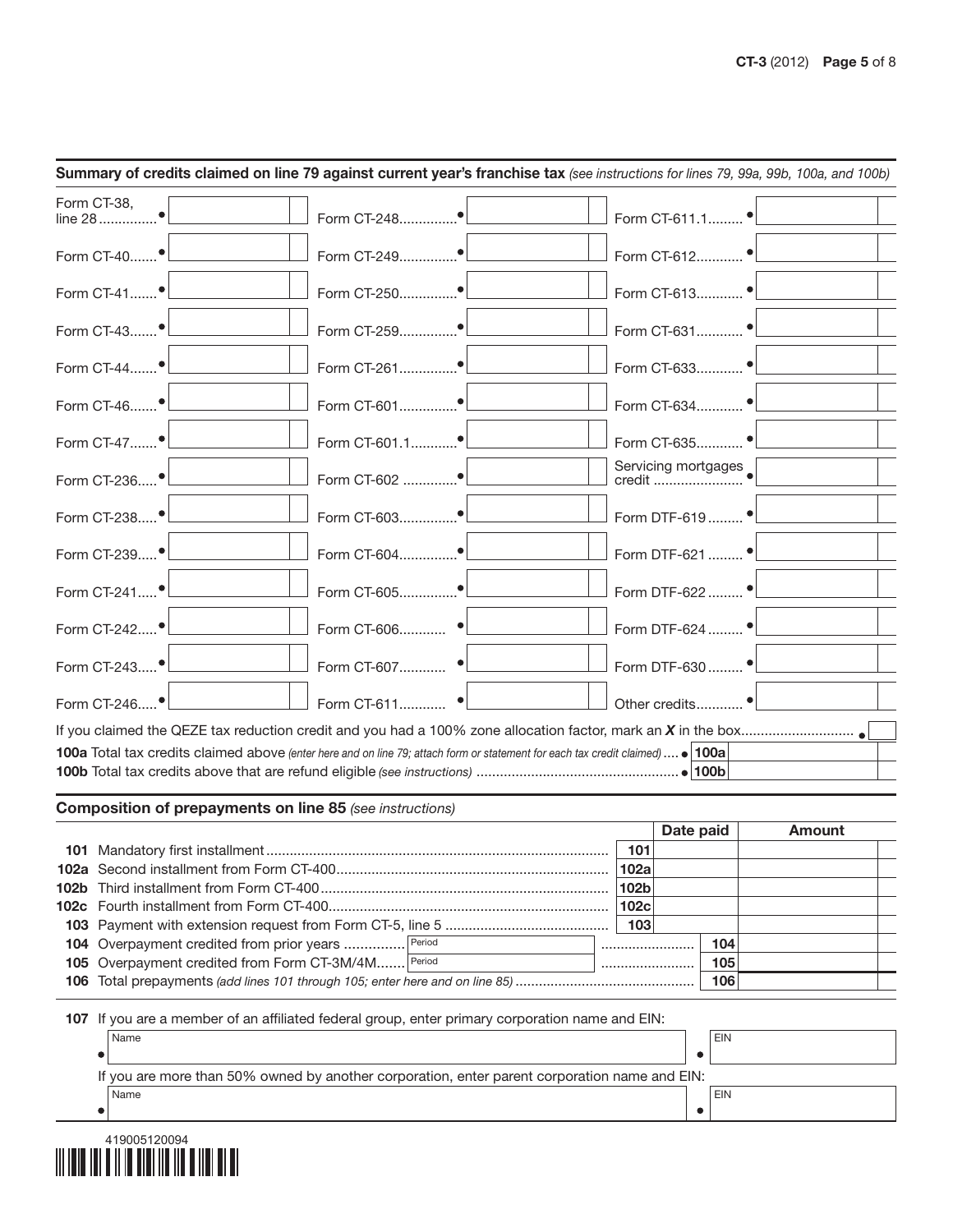|                                        | Summary of credits claimed on line 79 against current year's franchise tax (see instructions for lines 79, 99a, 99b, 100a, and 100b) |                                              |
|----------------------------------------|--------------------------------------------------------------------------------------------------------------------------------------|----------------------------------------------|
| Form CT-38,                            | Form CT-248 <sup>●</sup>                                                                                                             | Form CT-611.1 •                              |
|                                        |                                                                                                                                      |                                              |
| Form CT-41 $\bullet$ $\Box$            | Form CT-250●                                                                                                                         | Form CT-613 •                                |
| Form CT-43 <sup>1</sup>                |                                                                                                                                      | Form CT-631 •                                |
| Form CT-44 <sup>1</sup>                |                                                                                                                                      | Form CT-633 •                                |
| Form CT-46 <sup>1</sup>                |                                                                                                                                      |                                              |
| Form CT-47 <sup>●</sup>                |                                                                                                                                      | Form CT-635 •                                |
| Form CT-236 <sup>1</sup>               | Form CT-602 <sup>●</sup>                                                                                                             |                                              |
| Form CT-238 <sup>●</sup> L____________ |                                                                                                                                      | Form DTF-619  • <u>  _ _ _ _ _ _ _ _</u>     |
| Form CT-239 <sup>●</sup>               |                                                                                                                                      | Form DTF-621  •                              |
| Form CT-241 <sup>•</sup>               |                                                                                                                                      | Form DTF-622  •                              |
|                                        | Form CT-606 •                                                                                                                        | Form DTF-624  •                              |
| Form CT-243 <sup>•</sup>               | Form CT-607 •                                                                                                                        | Form DTF-630  • <u>  _ _ _ _ _ _ _ _ _ _</u> |
| Form CT-246 $\bullet$ $\Box$           | Form CT-611 $\bullet$                                                                                                                | Other credits •                              |
|                                        |                                                                                                                                      |                                              |
|                                        | 100a Total tax credits claimed above (enter here and on line 79; attach form or statement for each tax credit claimed)  . 100a       |                                              |
|                                        |                                                                                                                                      |                                              |

## Composition of prepayments on line 85 *(see instructions)*

|                                                    |      |             | Date paid |     | Amount |
|----------------------------------------------------|------|-------------|-----------|-----|--------|
|                                                    |      | 101         |           |     |        |
|                                                    |      | <b>102a</b> |           |     |        |
|                                                    |      | 102b        |           |     |        |
|                                                    | 102c |             |           |     |        |
|                                                    |      | 103         |           |     |        |
| 104 Overpayment credited from prior years  Period  |      |             |           | 104 |        |
| 105 Overpayment credited from Form CT-3M/4M Period |      |             |           |     |        |
|                                                    |      |             |           | 106 |        |

107 If you are a member of an affiliated federal group, enter primary corporation name and EIN:

| Name                                                                                          | <b>EIN</b> |
|-----------------------------------------------------------------------------------------------|------------|
|                                                                                               |            |
| If you are more than 50% owned by another corporation, enter parent corporation name and EIN: |            |
| Name                                                                                          | <b>EIN</b> |
|                                                                                               |            |

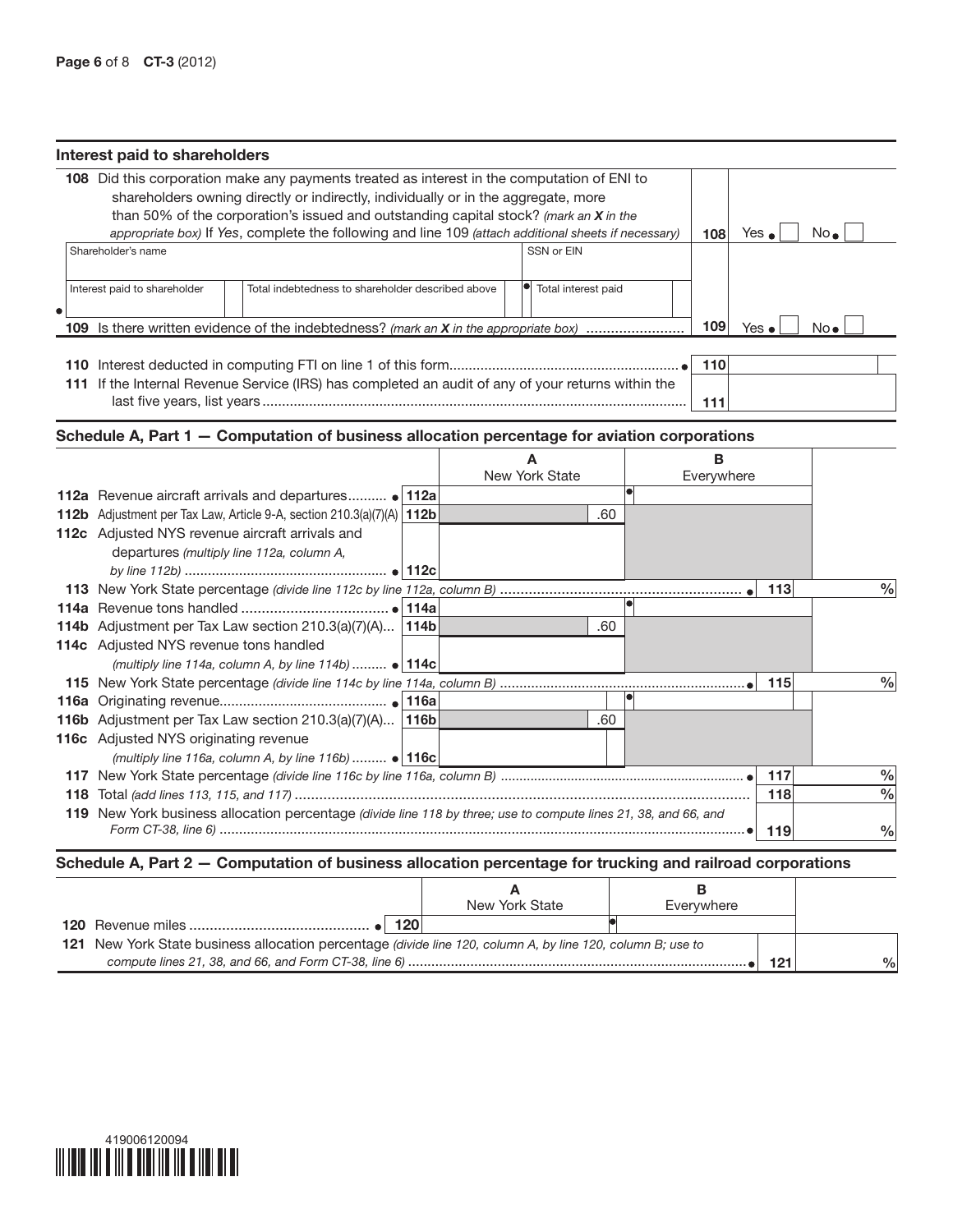| Interest paid to shareholders                   |                                                                                                                                                                                                                                                                                                                                                                                      |  |                     |     |            |               |                |      |
|-------------------------------------------------|--------------------------------------------------------------------------------------------------------------------------------------------------------------------------------------------------------------------------------------------------------------------------------------------------------------------------------------------------------------------------------------|--|---------------------|-----|------------|---------------|----------------|------|
|                                                 | 108 Did this corporation make any payments treated as interest in the computation of ENI to<br>shareholders owning directly or indirectly, individually or in the aggregate, more<br>than 50% of the corporation's issued and outstanding capital stock? (mark an $X$ in the<br>appropriate box) If Yes, complete the following and line 109 (attach additional sheets if necessary) |  |                     |     | 108        | Yes $\bullet$ | $No_{\bullet}$ |      |
| Shareholder's name                              |                                                                                                                                                                                                                                                                                                                                                                                      |  | SSN or EIN          |     |            |               |                |      |
|                                                 |                                                                                                                                                                                                                                                                                                                                                                                      |  |                     |     |            |               |                |      |
| Interest paid to shareholder                    | Total indebtedness to shareholder described above                                                                                                                                                                                                                                                                                                                                    |  | Total interest paid |     |            |               |                |      |
|                                                 | 109 Is there written evidence of the indebtedness? (mark an X in the appropriate box)                                                                                                                                                                                                                                                                                                |  |                     |     | 109        | Yes $\bullet$ | $No\bullet$    |      |
|                                                 |                                                                                                                                                                                                                                                                                                                                                                                      |  |                     |     |            |               |                |      |
|                                                 |                                                                                                                                                                                                                                                                                                                                                                                      |  |                     |     | 110        |               |                |      |
|                                                 | 111 If the Internal Revenue Service (IRS) has completed an audit of any of your returns within the                                                                                                                                                                                                                                                                                   |  |                     |     |            |               |                |      |
|                                                 |                                                                                                                                                                                                                                                                                                                                                                                      |  |                     |     | 111        |               |                |      |
|                                                 |                                                                                                                                                                                                                                                                                                                                                                                      |  |                     |     |            |               |                |      |
|                                                 | Schedule A, Part 1 - Computation of business allocation percentage for aviation corporations                                                                                                                                                                                                                                                                                         |  |                     |     |            |               |                |      |
|                                                 |                                                                                                                                                                                                                                                                                                                                                                                      |  | A                   |     | в          |               |                |      |
|                                                 |                                                                                                                                                                                                                                                                                                                                                                                      |  | New York State      |     | Everywhere |               |                |      |
|                                                 | 112a Revenue aircraft arrivals and departures • 112a                                                                                                                                                                                                                                                                                                                                 |  |                     |     |            |               |                |      |
|                                                 | 112b Adjustment per Tax Law, Article 9-A, section 210.3(a)(7)(A) 112b                                                                                                                                                                                                                                                                                                                |  |                     | .60 |            |               |                |      |
| 112c Adjusted NYS revenue aircraft arrivals and |                                                                                                                                                                                                                                                                                                                                                                                      |  |                     |     |            |               |                |      |
| departures (multiply line 112a, column A,       |                                                                                                                                                                                                                                                                                                                                                                                      |  |                     |     |            |               |                |      |
|                                                 |                                                                                                                                                                                                                                                                                                                                                                                      |  |                     |     |            |               |                |      |
|                                                 |                                                                                                                                                                                                                                                                                                                                                                                      |  |                     |     |            | 113           |                | $\%$ |
|                                                 |                                                                                                                                                                                                                                                                                                                                                                                      |  |                     |     |            |               |                |      |
| 114c Adjusted NYS revenue tons handled          | 114b Adjustment per Tax Law section $210.3(a)(7)(A)$ 114b                                                                                                                                                                                                                                                                                                                            |  |                     | .60 |            |               |                |      |
|                                                 | (multiply line 114a, column A, by line 114b) $\bullet$ 114c                                                                                                                                                                                                                                                                                                                          |  |                     |     |            |               |                |      |
|                                                 |                                                                                                                                                                                                                                                                                                                                                                                      |  |                     |     |            | 115           |                | $\%$ |
|                                                 |                                                                                                                                                                                                                                                                                                                                                                                      |  |                     |     |            |               |                |      |
|                                                 | 116b Adjustment per Tax Law section $210.3(a)(7)(A)$ 116b                                                                                                                                                                                                                                                                                                                            |  |                     | .60 |            |               |                |      |
| 116c Adjusted NYS originating revenue           |                                                                                                                                                                                                                                                                                                                                                                                      |  |                     |     |            |               |                |      |
|                                                 | (multiply line 116a, column A, by line 116b) $\bullet$ 116c                                                                                                                                                                                                                                                                                                                          |  |                     |     |            |               |                |      |
|                                                 |                                                                                                                                                                                                                                                                                                                                                                                      |  |                     |     |            | 117           |                | $\%$ |
|                                                 |                                                                                                                                                                                                                                                                                                                                                                                      |  |                     |     |            | 118           |                | $\%$ |
|                                                 | 119 New York business allocation percentage (divide line 118 by three; use to compute lines 21, 38, and 66, and                                                                                                                                                                                                                                                                      |  |                     |     |            |               |                |      |
|                                                 |                                                                                                                                                                                                                                                                                                                                                                                      |  |                     |     |            | 119           |                | $\%$ |
|                                                 |                                                                                                                                                                                                                                                                                                                                                                                      |  |                     |     |            |               |                |      |

## Schedule A, Part 2 — Computation of business allocation percentage for trucking and railroad corporations

|                                                                                                             |     | New York State | Everywhere |  |  |  |  |  |
|-------------------------------------------------------------------------------------------------------------|-----|----------------|------------|--|--|--|--|--|
|                                                                                                             | 120 |                |            |  |  |  |  |  |
| 121 New York State business allocation percentage (divide line 120, column A, by line 120, column B; use to |     |                |            |  |  |  |  |  |
|                                                                                                             |     |                |            |  |  |  |  |  |

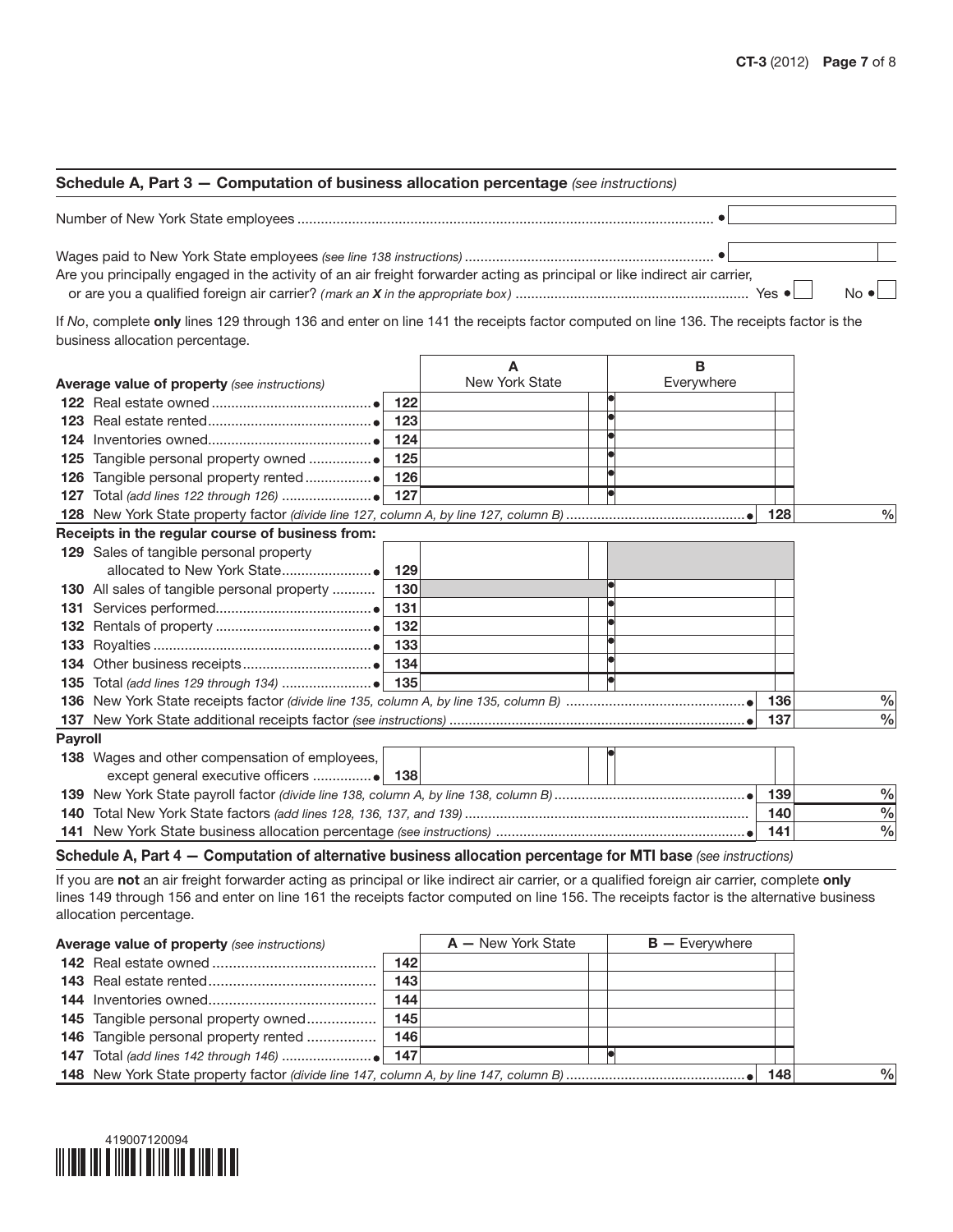## Schedule A, Part 3 — Computation of business allocation percentage *(see instructions)*

Number of New York State employees ...........................................................................................................

Wages paid to New York State employees *(see line 138 instructions)* ................................................................ Are you principally engaged in the activity of an air freight forwarder acting as principal or like indirect air carrier, or are you a qualified foreign air carrier? *(mark an X in the appropriate box )* ............................................................ Yes No

If *No*, complete only lines 129 through 136 and enter on line 141 the receipts factor computed on line 136. The receipts factor is the business allocation percentage.

|                |                                                     |                | в          |     |               |
|----------------|-----------------------------------------------------|----------------|------------|-----|---------------|
|                | <b>Average value of property</b> (see instructions) | New York State | Everywhere |     |               |
|                | 122                                                 |                |            |     |               |
|                |                                                     |                |            |     |               |
| 124            | 124                                                 |                |            |     |               |
| 125            | 125                                                 |                |            |     |               |
| 126            |                                                     |                |            |     |               |
| 127            |                                                     |                |            |     |               |
|                |                                                     |                |            | 128 | $\frac{0}{0}$ |
|                | Receipts in the regular course of business from:    |                |            |     |               |
|                | 129 Sales of tangible personal property             |                |            |     |               |
|                | 129                                                 |                |            |     |               |
|                | 130<br>130 All sales of tangible personal property  |                |            |     |               |
|                | -131                                                |                |            |     |               |
|                | 132                                                 |                |            |     |               |
|                | 133                                                 |                |            |     |               |
|                |                                                     |                |            |     |               |
| 135            |                                                     |                |            |     |               |
| 136            |                                                     |                |            | 136 | $\frac{0}{0}$ |
| 137            |                                                     |                |            | 137 | $\frac{0}{0}$ |
| <b>Payroll</b> |                                                     |                |            |     |               |
|                | 138 Wages and other compensation of employees,      |                |            |     |               |
|                |                                                     |                |            |     |               |
|                |                                                     |                |            | 139 | $\frac{0}{0}$ |
| 140            |                                                     |                |            | 140 | $\%$          |
|                |                                                     |                |            | 141 | $\frac{0}{0}$ |

Schedule A, Part 4 — Computation of alternative business allocation percentage for MTI base *(see instructions)*

If you are not an air freight forwarder acting as principal or like indirect air carrier, or a qualified foreign air carrier, complete only lines 149 through 156 and enter on line 161 the receipts factor computed on line 156. The receipts factor is the alternative business allocation percentage.

| <b>Average value of property</b> (see instructions) |     | $A - New York State$ | $B -$ Everywhere |  |  |  |  |  |
|-----------------------------------------------------|-----|----------------------|------------------|--|--|--|--|--|
|                                                     | 142 |                      |                  |  |  |  |  |  |
|                                                     | 143 |                      |                  |  |  |  |  |  |
|                                                     | 144 |                      |                  |  |  |  |  |  |
| <b>145</b> Tangible personal property owned         | 145 |                      |                  |  |  |  |  |  |
| 146 Tangible personal property rented               | 146 |                      |                  |  |  |  |  |  |
|                                                     |     |                      |                  |  |  |  |  |  |
| 148                                                 |     |                      |                  |  |  |  |  |  |